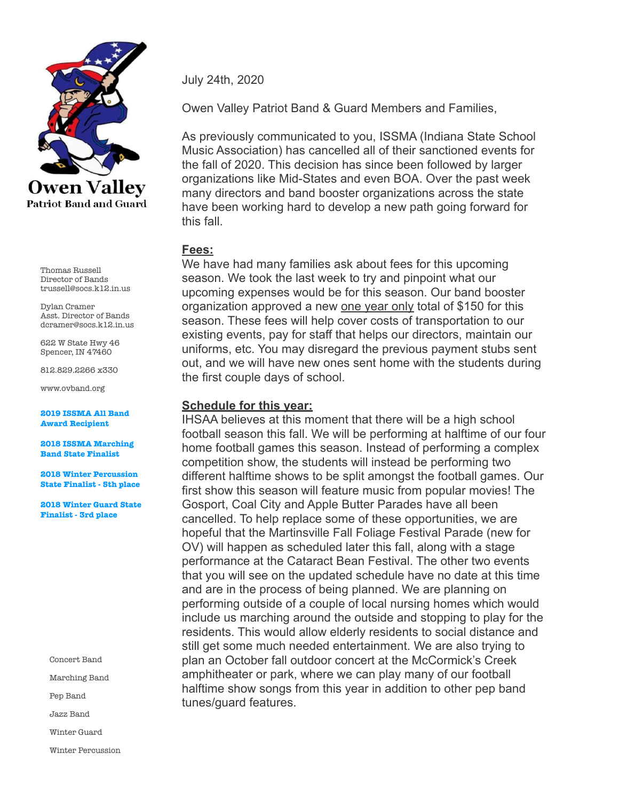

Thomas Russell Director of Bands trussell@socs.k12.in.us

Dylan Cramer Asst. Director of Bands dcramer@socs.k12.in.us

622 W State Hwy 46 Spencer, IN 47460

812.829.2266 x330

www.ovband.org

**2019 ISSMA All Band Award Recipient** 

**2018 ISSMA Marching Band State Finalist** 

**2018 Winter Percussion State Finalist - 5th place** 

**2018 Winter Guard State Finalist - 3rd place** 

Concert Band

Marching Band

Pep Band

Jazz Band

Winter Guard

Winter Percussion

July 24th, 2020

Owen Valley Patriot Band & Guard Members and Families,

As previously communicated to you, ISSMA (Indiana State School Music Association) has cancelled all of their sanctioned events for the fall of 2020. This decision has since been followed by larger organizations like Mid-States and even BOA. Over the past week many directors and band booster organizations across the state have been working hard to develop a new path going forward for this fall.

## **Fees:**

We have had many families ask about fees for this upcoming season. We took the last week to try and pinpoint what our upcoming expenses would be for this season. Our band booster organization approved a new one year only total of \$150 for this season. These fees will help cover costs of transportation to our existing events, pay for staff that helps our directors, maintain our uniforms, etc. You may disregard the previous payment stubs sent out, and we will have new ones sent home with the students during the first couple days of school.

# **Schedule for this year:**

IHSAA believes at this moment that there will be a high school football season this fall. We will be performing at halftime of our four home football games this season. Instead of performing a complex competition show, the students will instead be performing two different halftime shows to be split amongst the football games. Our first show this season will feature music from popular movies! The Gosport, Coal City and Apple Butter Parades have all been cancelled. To help replace some of these opportunities, we are hopeful that the Martinsville Fall Foliage Festival Parade (new for OV) will happen as scheduled later this fall, along with a stage performance at the Cataract Bean Festival. The other two events that you will see on the updated schedule have no date at this time and are in the process of being planned. We are planning on performing outside of a couple of local nursing homes which would include us marching around the outside and stopping to play for the residents. This would allow elderly residents to social distance and still get some much needed entertainment. We are also trying to plan an October fall outdoor concert at the McCormick's Creek amphitheater or park, where we can play many of our football halftime show songs from this year in addition to other pep band tunes/guard features.